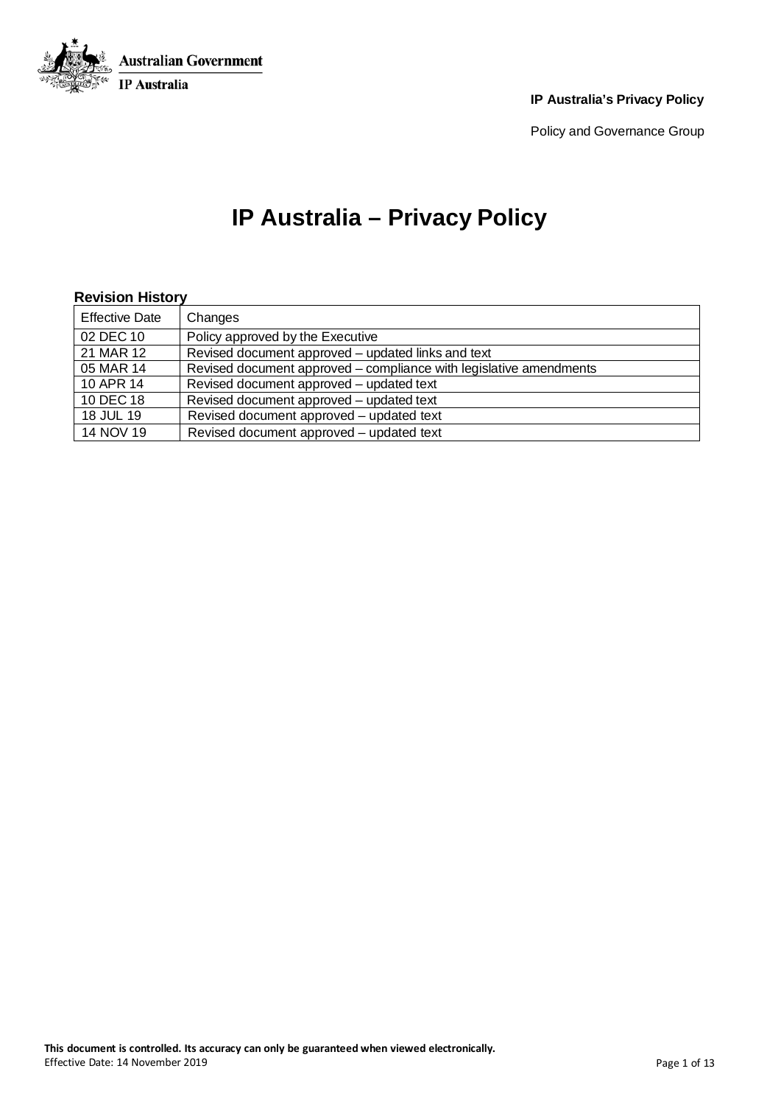

Policy and Governance Group

## **IP Australia – Privacy Policy**

#### **Revision History**

| <b>Effective Date</b> | Changes                                                            |
|-----------------------|--------------------------------------------------------------------|
| 02 DEC 10             | Policy approved by the Executive                                   |
| 21 MAR 12             | Revised document approved - updated links and text                 |
| 05 MAR 14             | Revised document approved – compliance with legislative amendments |
| 10 APR 14             | Revised document approved – updated text                           |
| 10 DEC 18             | Revised document approved – updated text                           |
| 18 JUL 19             | Revised document approved – updated text                           |
| 14 NOV 19             | Revised document approved – updated text                           |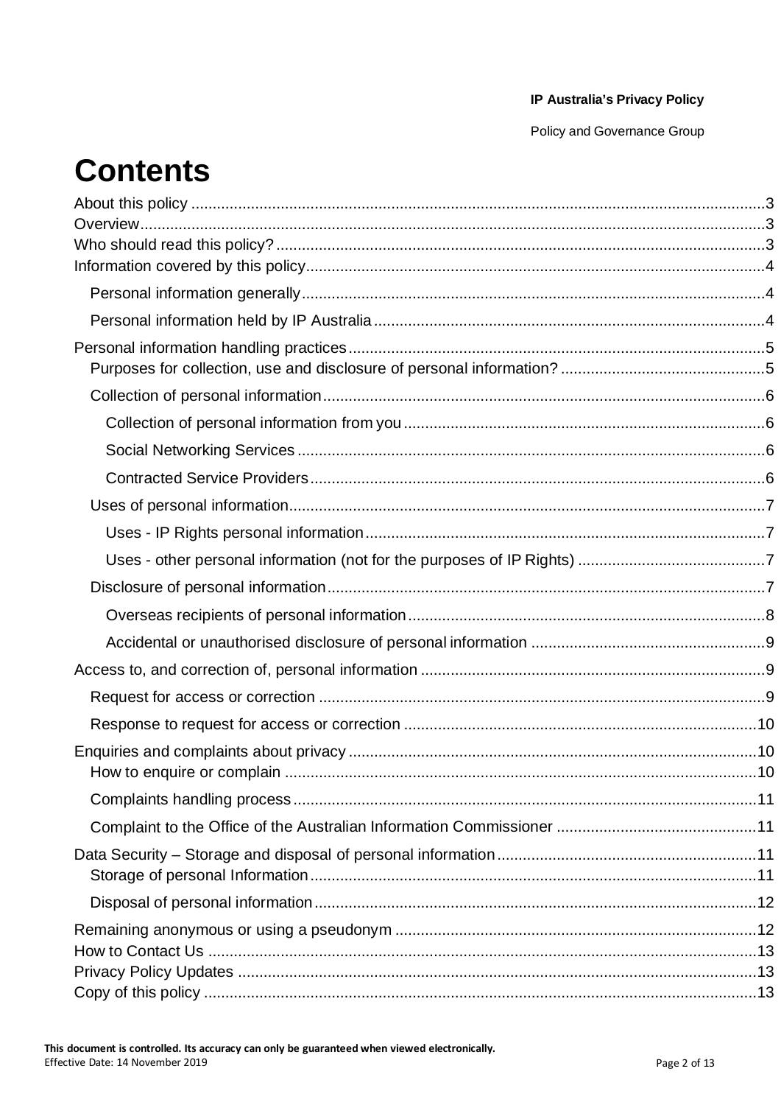Policy and Governance Group

# **Contents**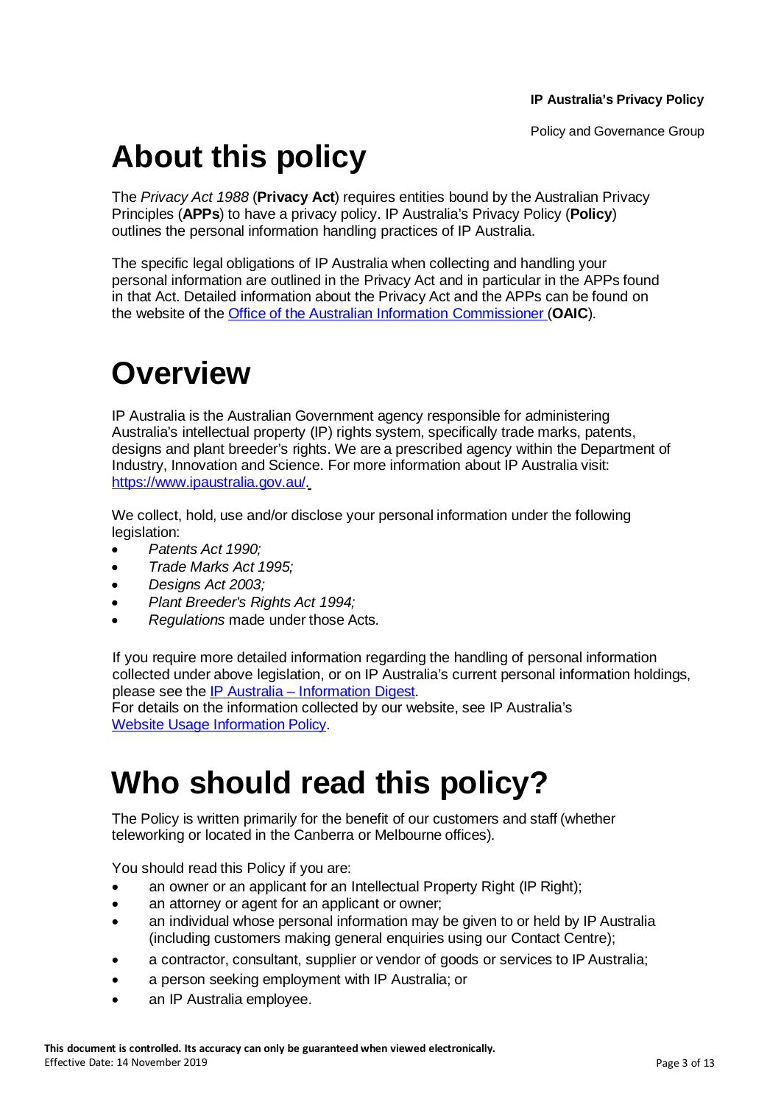# **About this policy**

The *Privacy Act 1988* (**Privacy Act**) requires entities bound by the Australian Privacy Principles (**APPs**) to have a privacy policy. IP Australia's Privacy Policy (**Policy**) outlines the personal information handling practices of IP Australia.

The specific legal obligations of IP Australia when collecting and handling your personal information are outlined in the Privacy Act and in particular in the APPs found in that Act. Detailed information about the Privacy Act and the APPs can be found on the website of the Office of the Australian Information [Commissioner](https://www.oaic.gov.au/) (**OAIC**).

# **Overview**

IP Australia is the Australian Government agency responsible for administering Australia's intellectual property (IP) rights system, specifically trade marks, patents, designs and plant breeder's rights. We are a prescribed agency within the Department of Industry, Innovation and Science. For more information about IP Australia visit: [https://www.ipaustralia.gov.au/.](https://www.ipaustralia.gov.au/)

We collect, hold, use and/or disclose your personal information under the following legislation:

- *Patents Act 1990;*
- *Trade Marks Act 1995;*
- *Designs Act 2003;*
- *Plant Breeder's Rights Act 1994;*
- *Regulations* made under those Acts*.*

If you require more detailed information regarding the handling of personal information collected under above legislation, or on IP Australia's current personal information holdings, please see the IP Australia – [Information](https://www.ipaustralia.gov.au/about-us/agency-overview/privacy-policy/information-digest) Digest.

For details on the information collected by our website, see IP Australia's Website Usage [Information](https://www.ipaustralia.gov.au/about-us/agency-overview/privacy-policy/website-usage) Policy.

## **Who should read this policy?**

The Policy is written primarily for the benefit of our customers and staff (whether teleworking or located in the Canberra or Melbourne offices).

You should read this Policy if you are:

- an owner or an applicant for an Intellectual Property Right (IP Right);
- an attorney or agent for an applicant or owner;
- an individual whose personal information may be given to or held by IP Australia (including customers making general enquiries using our Contact Centre);
- a contractor, consultant, supplier or vendor of goods or services to IP Australia;
- a person seeking employment with IP Australia; or
- an IP Australia employee.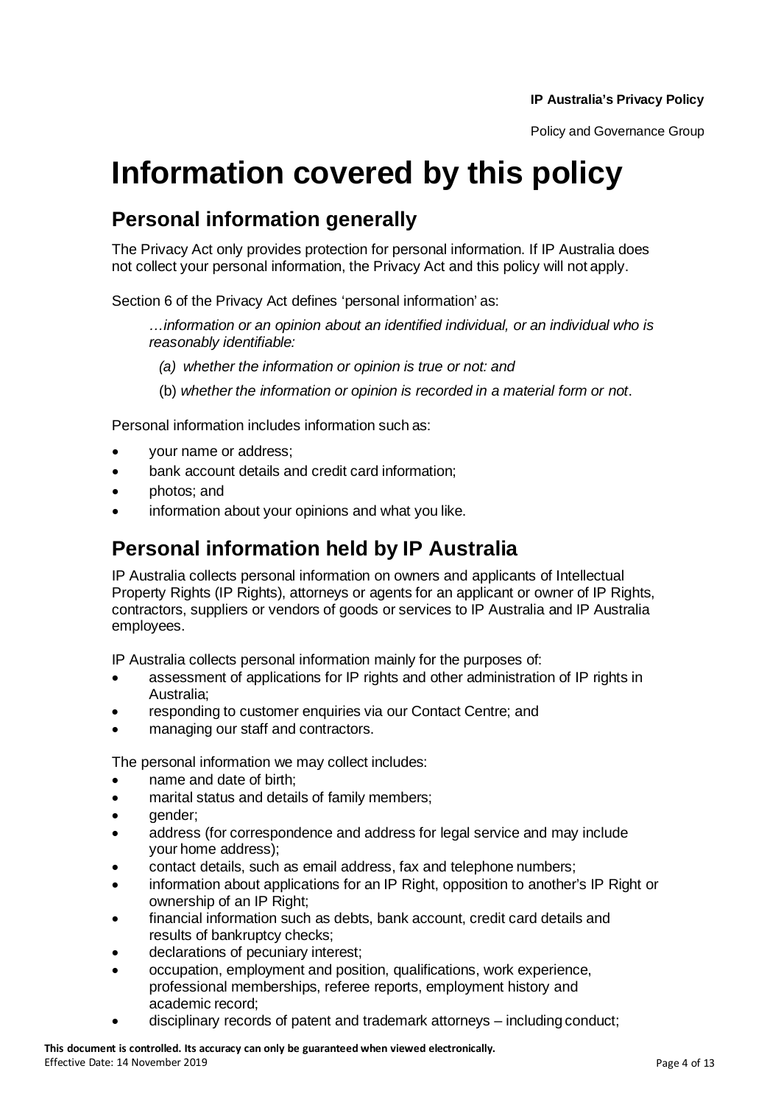# **Information covered by this policy**

### **Personal information generally**

The Privacy Act only provides protection for personal information. If IP Australia does not collect your personal information, the Privacy Act and this policy will not apply.

Section 6 of the Privacy Act defines 'personal information' as:

*…information or an opinion about an identified individual, or an individual who is reasonably identifiable:*

- *(a) whether the information or opinion is true or not: and*
- (b) *whether the information or opinion is recorded in a material form or not*.

Personal information includes information such as:

- your name or address;
- bank account details and credit card information:
- photos; and
- information about your opinions and what you like.

### **Personal information held by IP Australia**

IP Australia collects personal information on owners and applicants of Intellectual Property Rights (IP Rights), attorneys or agents for an applicant or owner of IP Rights, contractors, suppliers or vendors of goods or services to IP Australia and IP Australia employees.

IP Australia collects personal information mainly for the purposes of:

- assessment of applications for IP rights and other administration of IP rights in Australia;
- responding to customer enquiries via our Contact Centre; and
- managing our staff and contractors.

The personal information we may collect includes:

- name and date of birth;
- marital status and details of family members;
- gender;
- address (for correspondence and address for legal service and may include your home address);
- contact details, such as email address, fax and telephone numbers;
- information about applications for an IP Right, opposition to another's IP Right or ownership of an IP Right;
- financial information such as debts, bank account, credit card details and results of bankruptcy checks;
- declarations of pecuniary interest;
- occupation, employment and position, qualifications, work experience, professional memberships, referee reports, employment history and academic record;
- disciplinary records of patent and trademark attorneys including conduct;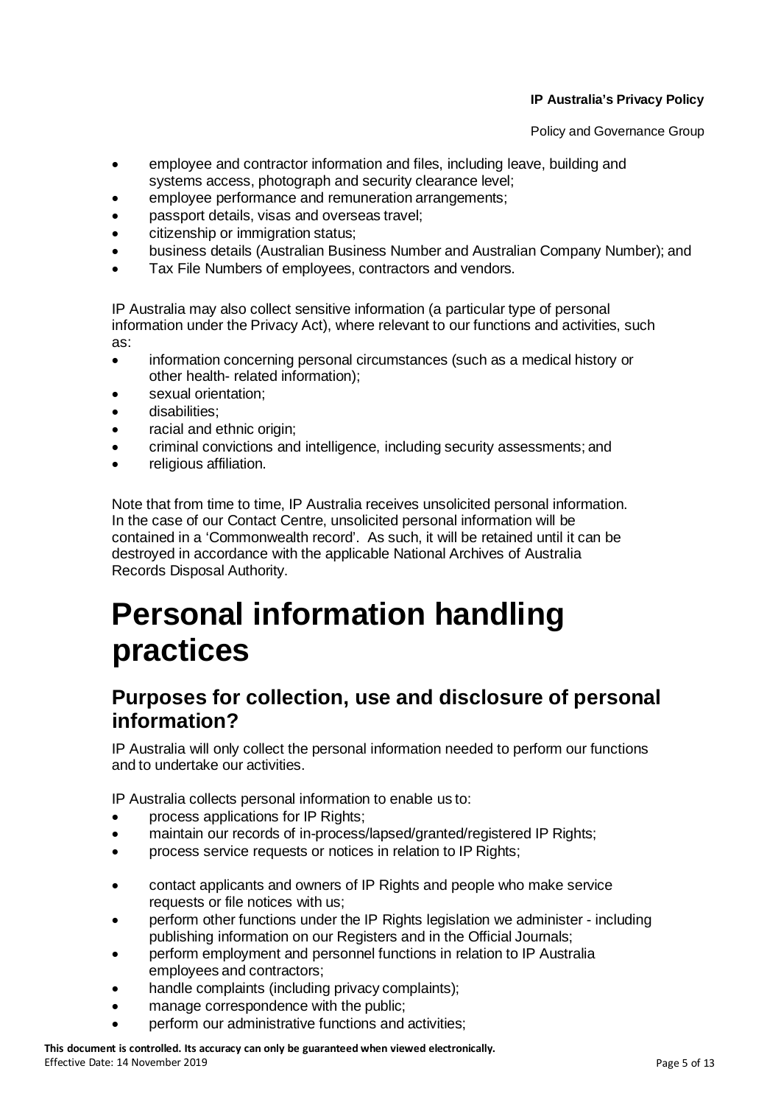Policy and Governance Group

- employee and contractor information and files, including leave, building and systems access, photograph and security clearance level;
- employee performance and remuneration arrangements;
- passport details, visas and overseas travel;
- citizenship or immigration status;
- business details (Australian Business Number and Australian Company Number); and
- Tax File Numbers of employees, contractors and vendors.

IP Australia may also collect sensitive information (a particular type of personal information under the Privacy Act), where relevant to our functions and activities, such as:

- information concerning personal circumstances (such as a medical history or other health- related information);
- sexual orientation;
- disabilities:
- racial and ethnic origin;
- criminal convictions and intelligence, including security assessments; and
- religious affiliation.

Note that from time to time, IP Australia receives unsolicited personal information. In the case of our Contact Centre, unsolicited personal information will be contained in a 'Commonwealth record'. As such, it will be retained until it can be destroyed in accordance with the applicable National Archives of Australia Records Disposal Authority.

# **Personal information handling practices**

### **Purposes for collection, use and disclosure of personal information?**

IP Australia will only collect the personal information needed to perform our functions and to undertake our activities.

IP Australia collects personal information to enable us to:

- process applications for IP Rights;
- maintain our records of in-process/lapsed/granted/registered IP Rights;
- process service requests or notices in relation to IP Rights;
- contact applicants and owners of IP Rights and people who make service requests or file notices with us;
- perform other functions under the IP Rights legislation we administer including publishing information on our Registers and in the Official Journals;
- perform employment and personnel functions in relation to IP Australia employees and contractors;
- handle complaints (including privacy complaints);
- manage correspondence with the public;
- perform our administrative functions and activities;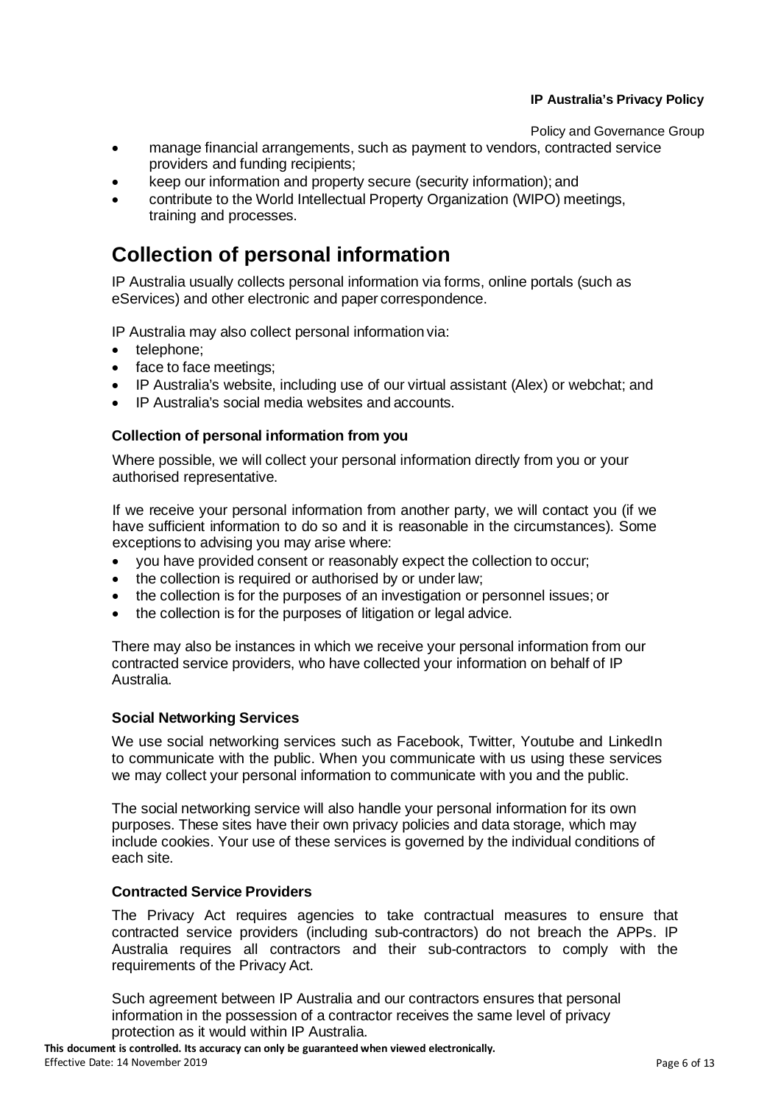Policy and Governance Group

- manage financial arrangements, such as payment to vendors, contracted service providers and funding recipients;
- keep our information and property secure (security information); and
- contribute to the World Intellectual Property Organization (WIPO) meetings, training and processes.

### **Collection of personal information**

IP Australia usually collects personal information via forms, online portals (such as eServices) and other electronic and paper correspondence.

IP Australia may also collect personal information via:

- telephone;
- face to face meetings;
- IP Australia's website, including use of our virtual assistant (Alex) or webchat; and
- IP Australia's social media websites and accounts.

#### **Collection of personal information from you**

Where possible, we will collect your personal information directly from you or your authorised representative.

If we receive your personal information from another party, we will contact you (if we have sufficient information to do so and it is reasonable in the circumstances). Some exceptions to advising you may arise where:

- you have provided consent or reasonably expect the collection to occur;
- the collection is required or authorised by or under law;
- the collection is for the purposes of an investigation or personnel issues; or
- the collection is for the purposes of litigation or legal advice.

There may also be instances in which we receive your personal information from our contracted service providers, who have collected your information on behalf of IP Australia.

#### **Social Networking Services**

We use social networking services such as Facebook, Twitter, Youtube and LinkedIn to communicate with the public. When you communicate with us using these services we may collect your personal information to communicate with you and the public.

The social networking service will also handle your personal information for its own purposes. These sites have their own privacy policies and data storage, which may include cookies. Your use of these services is governed by the individual conditions of each site.

#### **Contracted Service Providers**

The Privacy Act requires agencies to take contractual measures to ensure that contracted service providers (including sub-contractors) do not breach the APPs. IP Australia requires all contractors and their sub-contractors to comply with the requirements of the Privacy Act.

Such agreement between IP Australia and our contractors ensures that personal information in the possession of a contractor receives the same level of privacy protection as it would within IP Australia.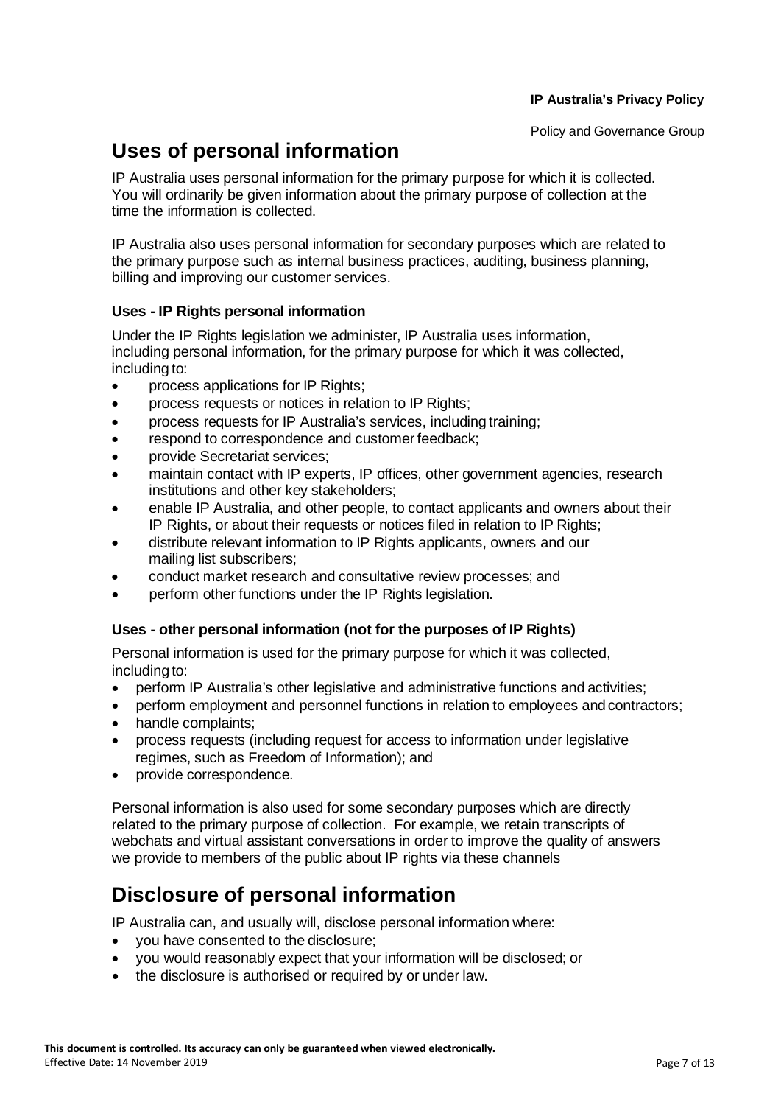### **Uses of personal information**

IP Australia uses personal information for the primary purpose for which it is collected. You will ordinarily be given information about the primary purpose of collection at the time the information is collected.

IP Australia also uses personal information for secondary purposes which are related to the primary purpose such as internal business practices, auditing, business planning, billing and improving our customer services.

#### **Uses - IP Rights personal information**

Under the IP Rights legislation we administer, IP Australia uses information, including personal information, for the primary purpose for which it was collected, including to:

- process applications for IP Rights;
- process requests or notices in relation to IP Rights;
- process requests for IP Australia's services, including training;
- respond to correspondence and customer feedback;
- provide Secretariat services;
- maintain contact with IP experts, IP offices, other government agencies, research institutions and other key stakeholders;
- enable IP Australia, and other people, to contact applicants and owners about their IP Rights, or about their requests or notices filed in relation to IP Rights;
- distribute relevant information to IP Rights applicants, owners and our mailing list subscribers;
- conduct market research and consultative review processes; and
- perform other functions under the IP Rights legislation.

#### **Uses - other personal information (not for the purposes of IP Rights)**

Personal information is used for the primary purpose for which it was collected, including to:

- perform IP Australia's other legislative and administrative functions and activities;
- perform employment and personnel functions in relation to employees and contractors;
- handle complaints;
- process requests (including request for access to information under legislative regimes, such as Freedom of Information); and
- provide correspondence.

Personal information is also used for some secondary purposes which are directly related to the primary purpose of collection. For example, we retain transcripts of webchats and virtual assistant conversations in order to improve the quality of answers we provide to members of the public about IP rights via these channels

### **Disclosure of personal information**

IP Australia can, and usually will, disclose personal information where:

- you have consented to the disclosure;
- you would reasonably expect that your information will be disclosed; or
- the disclosure is authorised or required by or under law.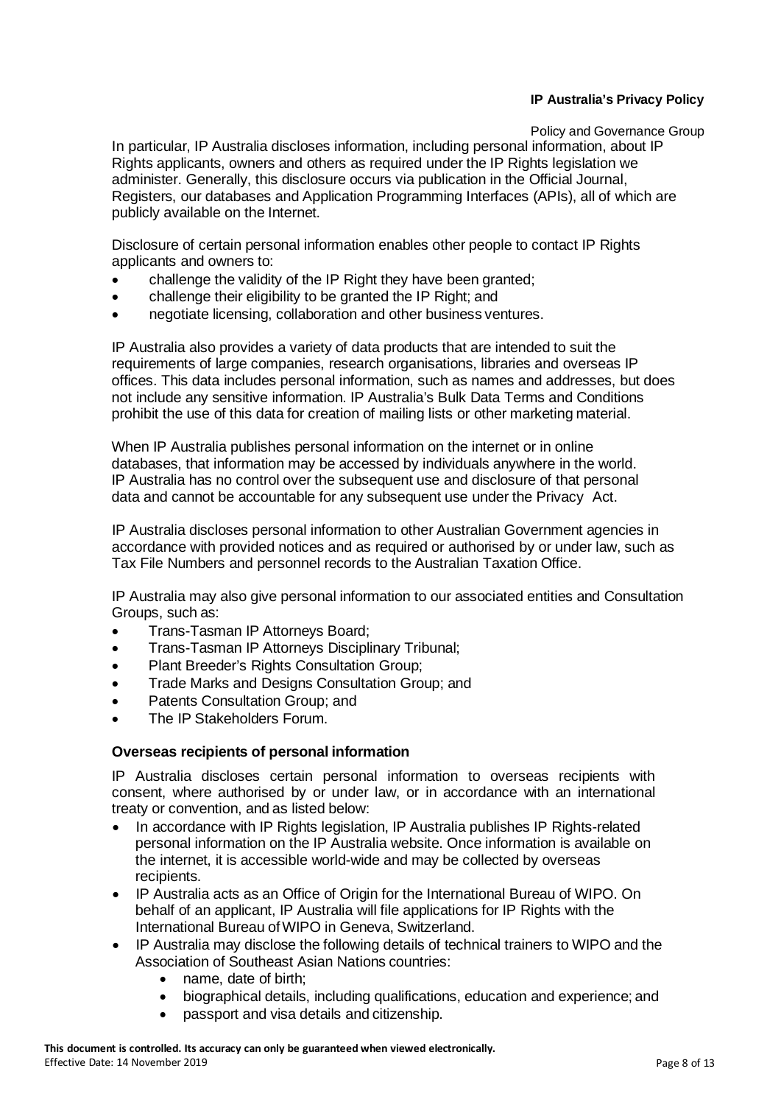Policy and Governance Group In particular, IP Australia discloses information, including personal information, about IP Rights applicants, owners and others as required under the IP Rights legislation we administer. Generally, this disclosure occurs via publication in the Official Journal, Registers, our databases and Application Programming Interfaces (APIs), all of which are publicly available on the Internet.

Disclosure of certain personal information enables other people to contact IP Rights applicants and owners to:

- challenge the validity of the IP Right they have been granted;
- challenge their eligibility to be granted the IP Right; and
- negotiate licensing, collaboration and other business ventures.

IP Australia also provides a variety of data products that are intended to suit the requirements of large companies, research organisations, libraries and overseas IP offices. This data includes personal information, such as names and addresses, but does not include any sensitive information. IP Australia's Bulk Data Terms and Conditions prohibit the use of this data for creation of mailing lists or other marketing material.

When IP Australia publishes personal information on the internet or in online databases, that information may be accessed by individuals anywhere in the world. IP Australia has no control over the subsequent use and disclosure of that personal data and cannot be accountable for any subsequent use under the Privacy Act.

IP Australia discloses personal information to other Australian Government agencies in accordance with provided notices and as required or authorised by or under law, such as Tax File Numbers and personnel records to the Australian Taxation Office.

IP Australia may also give personal information to our associated entities and Consultation Groups, such as:

- Trans-Tasman IP Attorneys Board;
- Trans-Tasman IP Attorneys Disciplinary Tribunal;
- Plant Breeder's Rights Consultation Group;
- Trade Marks and Designs Consultation Group; and
- Patents Consultation Group; and
- The IP Stakeholders Forum.

#### **Overseas recipients of personal information**

IP Australia discloses certain personal information to overseas recipients with consent, where authorised by or under law, or in accordance with an international treaty or convention, and as listed below:

- In accordance with IP Rights legislation, IP Australia publishes IP Rights-related personal information on the IP Australia website. Once information is available on the internet, it is accessible world-wide and may be collected by overseas recipients.
- IP Australia acts as an Office of Origin for the International Bureau of WIPO. On behalf of an applicant, IP Australia will file applications for IP Rights with the International Bureau ofWIPO in Geneva, Switzerland.
- IP Australia may disclose the following details of technical trainers to WIPO and the Association of Southeast Asian Nations countries:
	- name, date of birth:
	- biographical details, including qualifications, education and experience; and
	- passport and visa details and citizenship.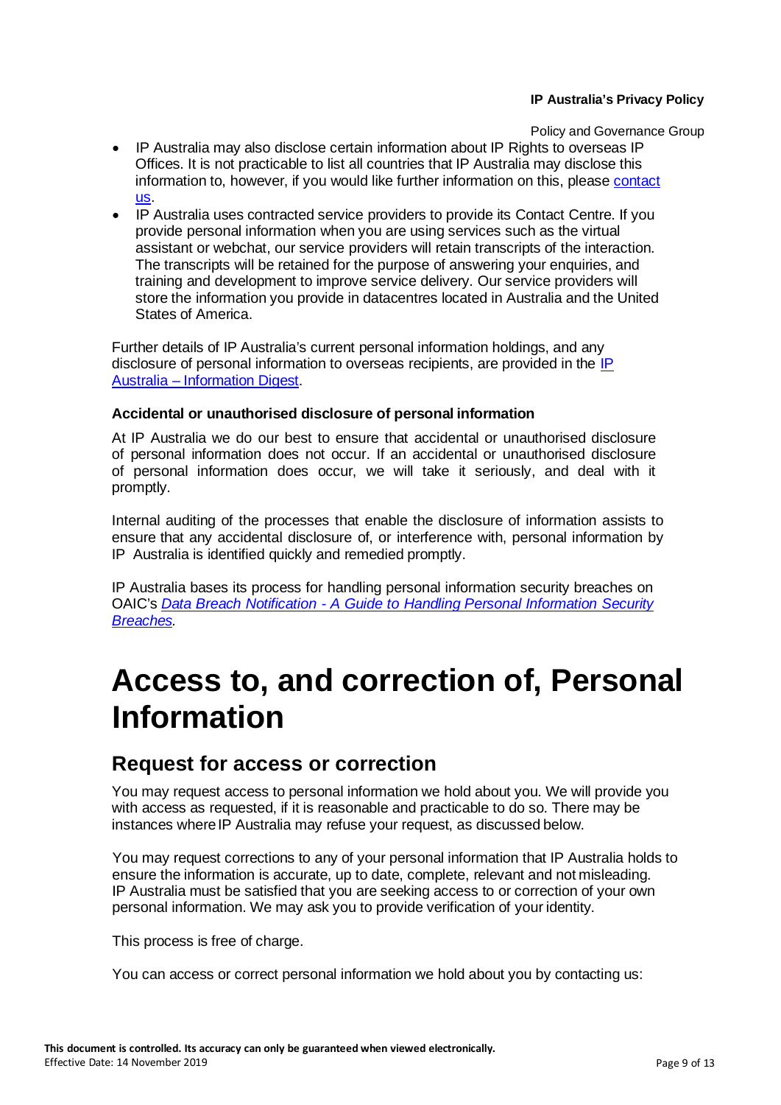Policy and Governance Group

- IP Australia may also disclose certain information about IP Rights to overseas IP Offices. It is not practicable to list all countries that IP Australia may disclose this information to, however, if you would like further information on this, please [contact](https://www.ipaustralia.gov.au/about-us/contact-us)  [us.](https://www.ipaustralia.gov.au/about-us/contact-us)
- IP Australia uses contracted service providers to provide its Contact Centre. If you provide personal information when you are using services such as the virtual assistant or webchat, our service providers will retain transcripts of the interaction. The transcripts will be retained for the purpose of answering your enquiries, and training and development to improve service delivery. Our service providers will store the information you provide in datacentres located in Australia and the United States of America.

Further details of IP Australia's current personal information holdings, and any disclosure of personal information to overseas recipients, are provided in the [IP](https://www.ipaustralia.gov.au/about-us/agency-overview/privacy-policy/information-digest)  Australia – [Information](https://www.ipaustralia.gov.au/about-us/agency-overview/privacy-policy/information-digest) Digest.

#### **Accidental or unauthorised disclosure of personal information**

At IP Australia we do our best to ensure that accidental or unauthorised disclosure of personal information does not occur. If an accidental or unauthorised disclosure of personal information does occur, we will take it seriously, and deal with it promptly.

Internal auditing of the processes that enable the disclosure of information assists to ensure that any accidental disclosure of, or interference with, personal information by IP Australia is identified quickly and remedied promptly.

IP Australia bases its process for handling personal information security breaches on OAIC's *Data Breach Notification - A Guide to Handling Personal [Information](https://www.oaic.gov.au/privacy-law/privacy-archive/privacy-resources-archive/data-breach-notification-a-guide-to-handling-personal-information-security-breaches) Security [Breaches.](https://www.oaic.gov.au/privacy-law/privacy-archive/privacy-resources-archive/data-breach-notification-a-guide-to-handling-personal-information-security-breaches)*

## **Access to, and correction of, Personal Information**

### **Request for access or correction**

You may request access to personal information we hold about you. We will provide you with access as requested, if it is reasonable and practicable to do so. There may be instances where IP Australia may refuse your request, as discussed below.

You may request corrections to any of your personal information that IP Australia holds to ensure the information is accurate, up to date, complete, relevant and not misleading. IP Australia must be satisfied that you are seeking access to or correction of your own personal information. We may ask you to provide verification of your identity.

This process is free of charge.

You can access or correct personal information we hold about you by contacting us: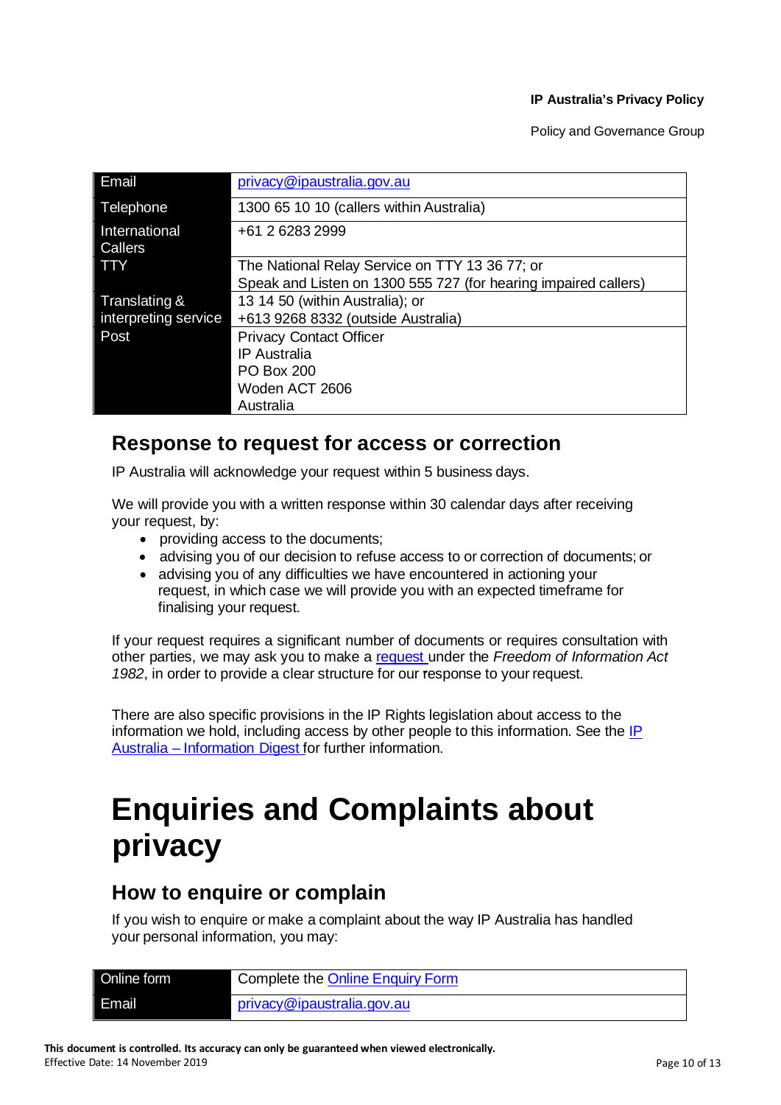Policy and Governance Group

| Email                    | privacy@ipaustralia.gov.au                                      |
|--------------------------|-----------------------------------------------------------------|
| Telephone                | 1300 65 10 10 (callers within Australia)                        |
| International<br>Callers | +61 2 6283 2999                                                 |
| <b>TTY</b>               | The National Relay Service on TTY 13 36 77; or                  |
|                          | Speak and Listen on 1300 555 727 (for hearing impaired callers) |
| Translating &            | 13 14 50 (within Australia); or                                 |
| interpreting service     | +613 9268 8332 (outside Australia)                              |
| Post                     | <b>Privacy Contact Officer</b>                                  |
|                          | <b>IP</b> Australia                                             |
|                          | <b>PO Box 200</b>                                               |
|                          | Woden ACT 2606                                                  |
|                          | Australia                                                       |

### **Response to request for access or correction**

IP Australia will acknowledge your request within 5 business days.

We will provide you with a written response within 30 calendar days after receiving your request, by:

- providing access to the documents;
- advising you of our decision to refuse access to or correction of documents; or
- advising you of any difficulties we have encountered in actioning your request, in which case we will provide you with an expected timeframe for finalising your request.

If your request requires a significant number of documents or requires consultation with other parties, we may ask you to make a [request](https://www.ipaustralia.gov.au/about-us/accountability-and-reporting/freedom-of-information) under the *Freedom of Information Act 1982*, in order to provide a clear structure for our response to your request.

There are also specific provisions in the IP Rights legislation about access to the information we hold, including access by other people to this information. See the IP Australia – [Information](https://www.ipaustralia.gov.au/about-us/agency-overview/privacy-policy/information-digest) Digest for further information.

# **Enquiries and Complaints about privacy**

### **How to enquire or complain**

If you wish to enquire or make a complaint about the way IP Australia has handled your personal information, you may:

| Online form | Complete the Online Enquiry Form |
|-------------|----------------------------------|
| Email       | privacy@ipaustralia.gov.au       |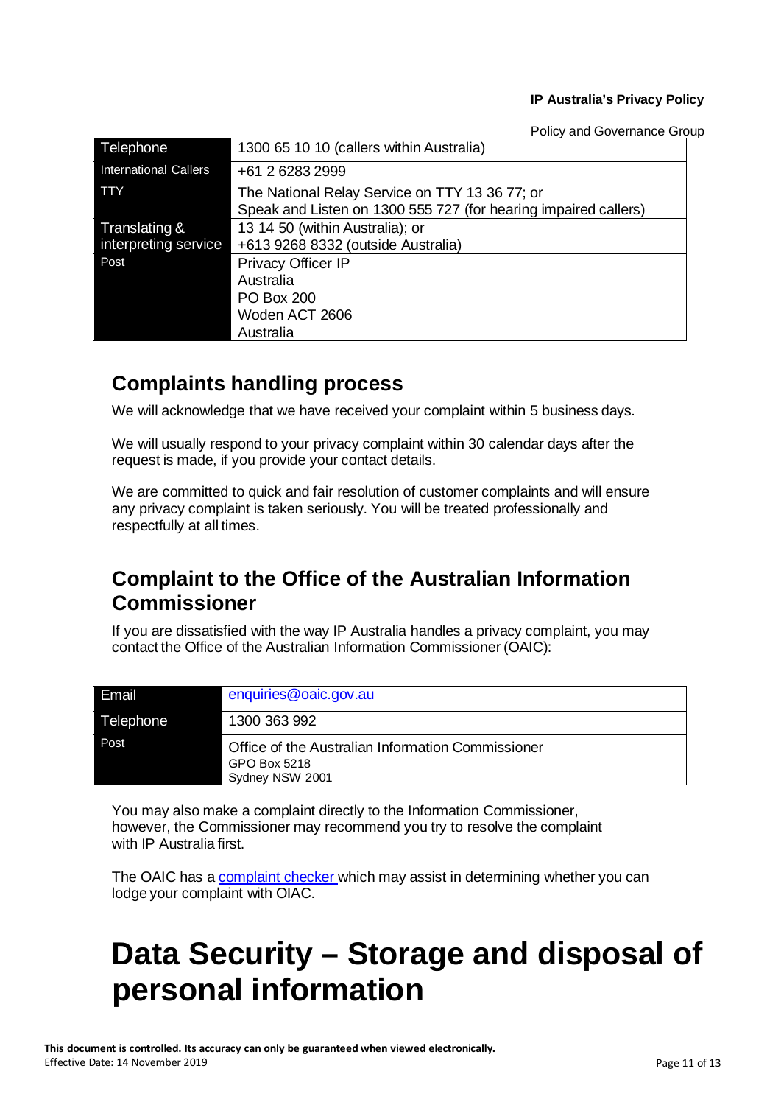Policy and Governance Group

| Telephone                    | 1300 65 10 10 (callers within Australia)                        |
|------------------------------|-----------------------------------------------------------------|
| <b>International Callers</b> | +61 2 6283 2999                                                 |
| <b>TTY</b>                   | The National Relay Service on TTY 13 36 77; or                  |
|                              | Speak and Listen on 1300 555 727 (for hearing impaired callers) |
| Translating &                | 13 14 50 (within Australia); or                                 |
| interpreting service         | +613 9268 8332 (outside Australia)                              |
| Post                         | <b>Privacy Officer IP</b>                                       |
|                              | Australia                                                       |
|                              | <b>PO Box 200</b>                                               |
|                              | Woden ACT 2606                                                  |
|                              | Australia                                                       |

### **Complaints handling process**

We will acknowledge that we have received your complaint within 5 business days.

We will usually respond to your privacy complaint within 30 calendar days after the request is made, if you provide your contact details.

We are committed to quick and fair resolution of customer complaints and will ensure any privacy complaint is taken seriously. You will be treated professionally and respectfully at all times.

### **Complaint to the Office of the Australian Information Commissioner**

If you are dissatisfied with the way IP Australia handles a privacy complaint, you may contact the Office of the Australian Information Commissioner (OAIC):

| l Email   | enquiries@oaic.gov.au                                                                |
|-----------|--------------------------------------------------------------------------------------|
| Telephone | 1300 363 992                                                                         |
| Post.     | Office of the Australian Information Commissioner<br>GPO Box 5218<br>Sydney NSW 2001 |

You may also make a complaint directly to the Information Commissioner, however, the Commissioner may recommend you try to resolve the complaint with IP Australia first.

The OAIC has a [complaint](https://www.oaic.gov.au/individuals/privacy-complaint-checker/) checker which may assist in determining whether you can lodge your complaint with OIAC.

# **Data Security – Storage and disposal of personal information**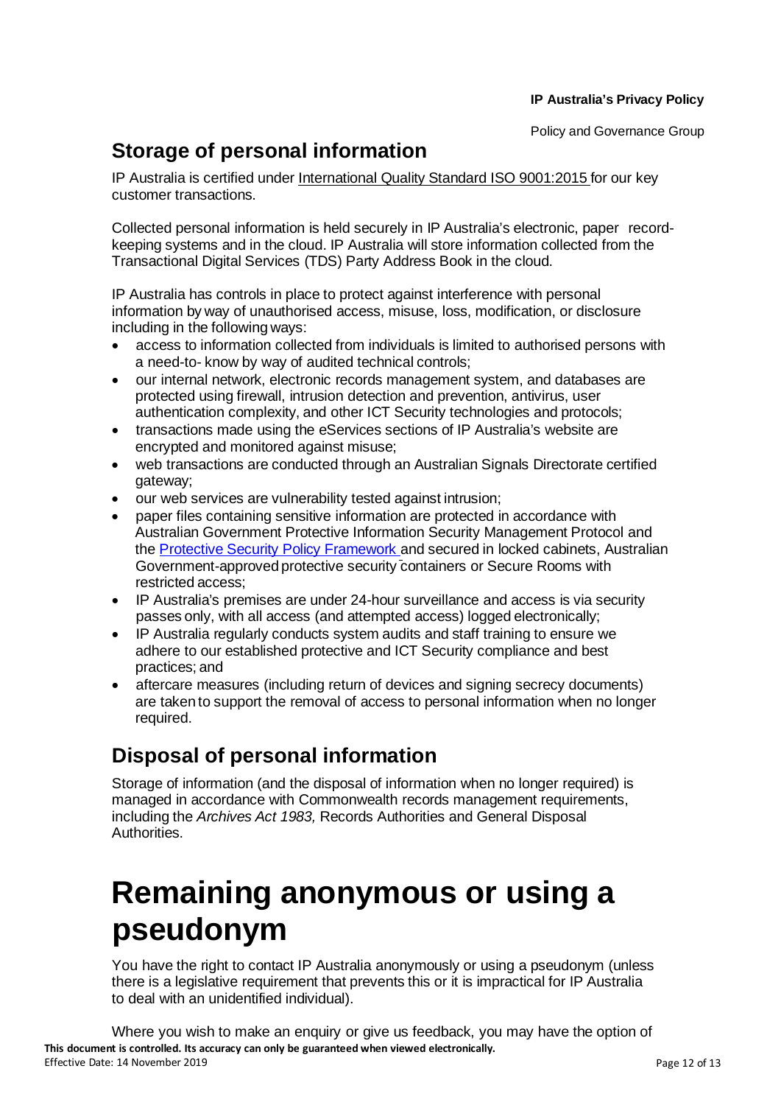### **Storage of personal information**

IP Australia is certified under International Quality Standard ISO 9001:2015 for our key customer transactions.

Collected personal information is held securely in IP Australia's electronic, paper recordkeeping systems and in the cloud. IP Australia will store information collected from the Transactional Digital Services (TDS) Party Address Book in the cloud.

IP Australia has controls in place to protect against interference with personal information by way of unauthorised access, misuse, loss, modification, or disclosure including in the following ways:

- access to information collected from individuals is limited to authorised persons with a need-to- know by way of audited technical controls;
- our internal network, electronic records management system, and databases are protected using firewall, intrusion detection and prevention, antivirus, user authentication complexity, and other ICT Security technologies and protocols;
- transactions made using the eServices sections of IP Australia's website are encrypted and monitored against misuse;
- web transactions are conducted through an Australian Signals Directorate certified gateway;
- our web services are vulnerability tested against intrusion;
- paper files containing sensitive information are protected in accordance with Australian Government Protective Information Security Management Protocol and the Protective Security Policy [Framework](https://www.protectivesecurity.gov.au/Pages/default.aspx) and secured in locked cabinets, Australian Government-approved protective security containers or Secure Rooms with restricted access;
- IP Australia's premises are under 24-hour surveillance and access is via security passes only, with all access (and attempted access) logged electronically;
- IP Australia regularly conducts system audits and staff training to ensure we adhere to our established protective and ICT Security compliance and best practices; and
- aftercare measures (including return of devices and signing secrecy documents) are taken to support the removal of access to personal information when no longer required.

### **Disposal of personal information**

Storage of information (and the disposal of information when no longer required) is managed in accordance with Commonwealth records management requirements, including the *Archives Act 1983,* Records Authorities and General Disposal Authorities.

# **Remaining anonymous or using a pseudonym**

You have the right to contact IP Australia anonymously or using a pseudonym (unless there is a legislative requirement that prevents this or it is impractical for IP Australia to deal with an unidentified individual).

**This document is controlled. Its accuracy can only be guaranteed when viewed electronically.** Effective Date: 14 November 2019 **Page 12 of 13** and the US and the US and the US and the Page 12 of 13 Where you wish to make an enquiry or give us feedback, you may have the option of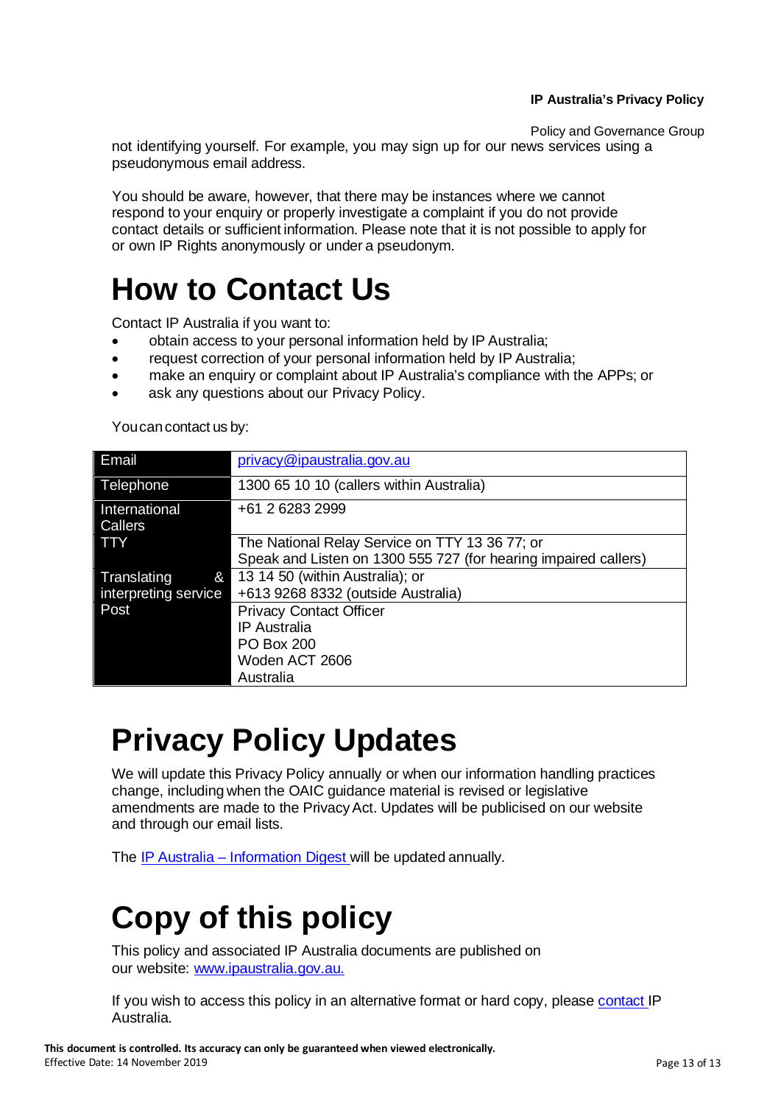Policy and Governance Group

not identifying yourself. For example, you may sign up for our news services using a pseudonymous email address.

You should be aware, however, that there may be instances where we cannot respond to your enquiry or properly investigate a complaint if you do not provide contact details or sufficient information. Please note that it is not possible to apply for or own IP Rights anonymously or under a pseudonym.

# **How to Contact Us**

Contact IP Australia if you want to:

- obtain access to your personal information held by IP Australia;
- request correction of your personal information held by IP Australia;
- make an enquiry or complaint about IP Australia's compliance with the APPs; or
- ask any questions about our Privacy Policy.

You can contact us by:

| Email                           | privacy@ipaustralia.gov.au                                      |
|---------------------------------|-----------------------------------------------------------------|
| Telephone                       | 1300 65 10 10 (callers within Australia)                        |
| International<br><b>Callers</b> | +61 2 6283 2999                                                 |
| <b>TTY</b>                      | The National Relay Service on TTY 13 36 77; or                  |
|                                 | Speak and Listen on 1300 555 727 (for hearing impaired callers) |
| Translating<br>$\mathcal{E}$    | 13 14 50 (within Australia); or                                 |
| interpreting service            | +613 9268 8332 (outside Australia)                              |
| Post                            | <b>Privacy Contact Officer</b>                                  |
|                                 | <b>IP</b> Australia                                             |
|                                 | <b>PO Box 200</b>                                               |
|                                 | Woden ACT 2606                                                  |
|                                 | Australia                                                       |

# **Privacy Policy Updates**

We will update this Privacy Policy annually or when our information handling practices change, including when the OAIC guidance material is revised or legislative amendments are made to the PrivacyAct. Updates will be publicised on our website and through our email lists.

The IP Australia – [Information](https://www.ipaustralia.gov.au/about-us/agency-overview/privacy-policy/information-digest) Digest will be updated annually.

# **Copy of this policy**

This policy and associated IP Australia documents are published on our website: [www.ipaustralia.gov.au.](http://www.ipaustralia.gov.au/)

If you wish to access this policy in an alternative format or hard copy, please [contact](https://www.ipaustralia.gov.au/about-us/contact-us-form) IP Australia.